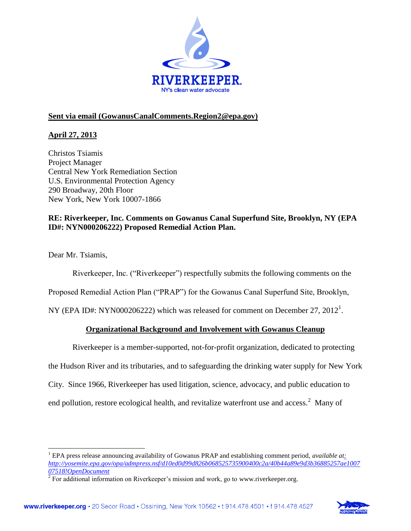

# **Sent via email (GowanusCanalComments.Region2@epa.gov)**

# **April 27, 2013**

Christos Tsiamis Project Manager Central New York Remediation Section U.S. Environmental Protection Agency 290 Broadway, 20th Floor New York, New York 10007-1866

## **RE: Riverkeeper, Inc. Comments on Gowanus Canal Superfund Site, Brooklyn, NY (EPA ID#: NYN000206222) Proposed Remedial Action Plan.**

Dear Mr. Tsiamis,

 $\overline{a}$ 

Riverkeeper, Inc. ("Riverkeeper") respectfully submits the following comments on the

Proposed Remedial Action Plan ("PRAP") for the Gowanus Canal Superfund Site, Brooklyn,

NY (EPA ID#: NYN000206222) which was released for comment on December 27,  $2012<sup>1</sup>$ .

## **Organizational Background and Involvement with Gowanus Cleanup**

Riverkeeper is a member-supported, not-for-profit organization, dedicated to protecting

the Hudson River and its tributaries, and to safeguarding the drinking water supply for New York

City. Since 1966, Riverkeeper has used litigation, science, advocacy, and public education to

end pollution, restore ecological health, and revitalize waterfront use and access. $2$  Many of



<sup>1</sup> EPA press release announcing availability of Gowanus PRAP and establishing comment period, *available [at:](:%20http:/yosemite.epa.gov/opa/admpress.nsf/d10ed0d99d826b068525735900400c2a/40b44a89e9d3b36885257ae100707518!OpenDocument)  [http://yosemite.epa.gov/opa/admpress.nsf/d10ed0d99d826b068525735900400c2a/40b44a89e9d3b36885257ae1007](:%20http:/yosemite.epa.gov/opa/admpress.nsf/d10ed0d99d826b068525735900400c2a/40b44a89e9d3b36885257ae100707518!OpenDocument) [07518!OpenDocument](:%20http:/yosemite.epa.gov/opa/admpress.nsf/d10ed0d99d826b068525735900400c2a/40b44a89e9d3b36885257ae100707518!OpenDocument)*

<sup>&</sup>lt;sup>2</sup> For additional information on Riverkeeper's mission and work, go to www.riverkeeper.org.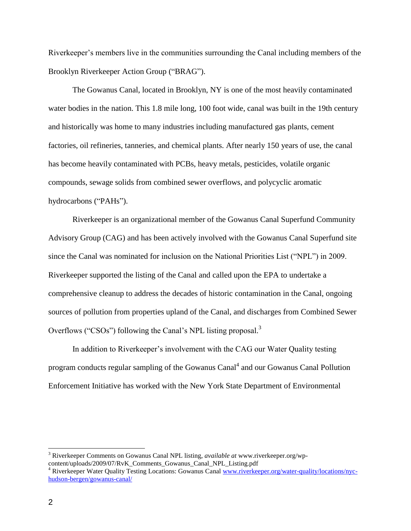Riverkeeper's members live in the communities surrounding the Canal including members of the Brooklyn Riverkeeper Action Group ("BRAG").

The Gowanus Canal, located in Brooklyn, NY is one of the most heavily contaminated water bodies in the nation. This 1.8 mile long, 100 foot wide, canal was built in the 19th century and historically was home to many industries including manufactured gas plants, cement factories, oil refineries, tanneries, and chemical plants. After nearly 150 years of use, the canal has become heavily contaminated with PCBs, heavy metals, pesticides, volatile organic compounds, sewage solids from combined sewer overflows, and polycyclic aromatic hydrocarbons ("PAHs").

Riverkeeper is an organizational member of the Gowanus Canal Superfund Community Advisory Group (CAG) and has been actively involved with the Gowanus Canal Superfund site since the Canal was nominated for inclusion on the National Priorities List ("NPL") in 2009. Riverkeeper supported the listing of the Canal and called upon the EPA to undertake a comprehensive cleanup to address the decades of historic contamination in the Canal, ongoing sources of pollution from properties upland of the Canal, and discharges from Combined Sewer Overflows ("CSOs") following the Canal's NPL listing proposal.<sup>3</sup>

In addition to Riverkeeper's involvement with the CAG our Water Quality testing program conducts regular sampling of the Gowanus Canal<sup>4</sup> and our Gowanus Canal Pollution Enforcement Initiative has worked with the New York State Department of Environmental

<sup>3</sup> Riverkeeper Comments on Gowanus Canal NPL listing, *available at* www.riverkeeper.org/wpcontent/uploads/2009/07/RvK\_Comments\_Gowanus\_Canal\_NPL\_Listing.pdf

<sup>&</sup>lt;sup>4</sup> Riverkeeper Water Quality Testing Locations: Gowanus Canal [www.riverkeeper.org/water-quality/locations/nyc](http://www.riverkeeper.org/water-quality/locations/nyc-hudson-bergen/gowanus-canal/)[hudson-bergen/gowanus-canal/](http://www.riverkeeper.org/water-quality/locations/nyc-hudson-bergen/gowanus-canal/)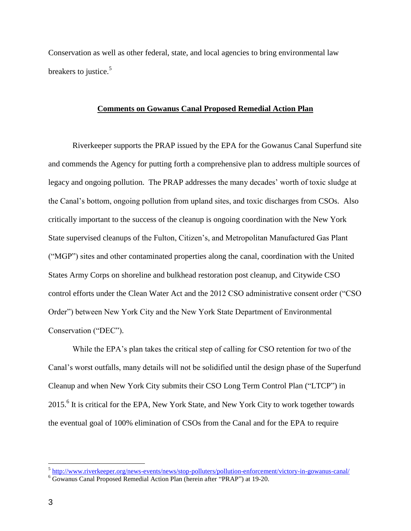Conservation as well as other federal, state, and local agencies to bring environmental law breakers to justice.<sup>5</sup>

### **Comments on Gowanus Canal Proposed Remedial Action Plan**

Riverkeeper supports the PRAP issued by the EPA for the Gowanus Canal Superfund site and commends the Agency for putting forth a comprehensive plan to address multiple sources of legacy and ongoing pollution. The PRAP addresses the many decades' worth of toxic sludge at the Canal's bottom, ongoing pollution from upland sites, and toxic discharges from CSOs. Also critically important to the success of the cleanup is ongoing coordination with the New York State supervised cleanups of the Fulton, Citizen's, and Metropolitan Manufactured Gas Plant ("MGP") sites and other contaminated properties along the canal, coordination with the United States Army Corps on shoreline and bulkhead restoration post cleanup, and Citywide CSO control efforts under the Clean Water Act and the 2012 CSO administrative consent order ("CSO Order") between New York City and the New York State Department of Environmental Conservation ("DEC").

While the EPA's plan takes the critical step of calling for CSO retention for two of the Canal's worst outfalls, many details will not be solidified until the design phase of the Superfund Cleanup and when New York City submits their CSO Long Term Control Plan ("LTCP") in 2015.<sup>6</sup> It is critical for the EPA, New York State, and New York City to work together towards the eventual goal of 100% elimination of CSOs from the Canal and for the EPA to require

 5 <http://www.riverkeeper.org/news-events/news/stop-polluters/pollution-enforcement/victory-in-gowanus-canal/>

<sup>6</sup> Gowanus Canal Proposed Remedial Action Plan (herein after "PRAP") at 19-20.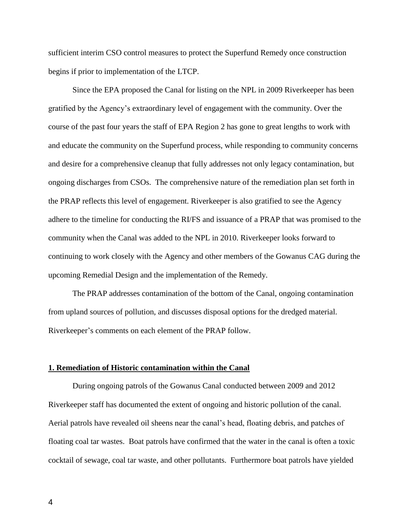sufficient interim CSO control measures to protect the Superfund Remedy once construction begins if prior to implementation of the LTCP.

Since the EPA proposed the Canal for listing on the NPL in 2009 Riverkeeper has been gratified by the Agency's extraordinary level of engagement with the community. Over the course of the past four years the staff of EPA Region 2 has gone to great lengths to work with and educate the community on the Superfund process, while responding to community concerns and desire for a comprehensive cleanup that fully addresses not only legacy contamination, but ongoing discharges from CSOs. The comprehensive nature of the remediation plan set forth in the PRAP reflects this level of engagement. Riverkeeper is also gratified to see the Agency adhere to the timeline for conducting the RI/FS and issuance of a PRAP that was promised to the community when the Canal was added to the NPL in 2010. Riverkeeper looks forward to continuing to work closely with the Agency and other members of the Gowanus CAG during the upcoming Remedial Design and the implementation of the Remedy.

The PRAP addresses contamination of the bottom of the Canal, ongoing contamination from upland sources of pollution, and discusses disposal options for the dredged material. Riverkeeper's comments on each element of the PRAP follow.

#### **1. Remediation of Historic contamination within the Canal**

During ongoing patrols of the Gowanus Canal conducted between 2009 and 2012 Riverkeeper staff has documented the extent of ongoing and historic pollution of the canal. Aerial patrols have revealed oil sheens near the canal's head, floating debris, and patches of floating coal tar wastes. Boat patrols have confirmed that the water in the canal is often a toxic cocktail of sewage, coal tar waste, and other pollutants. Furthermore boat patrols have yielded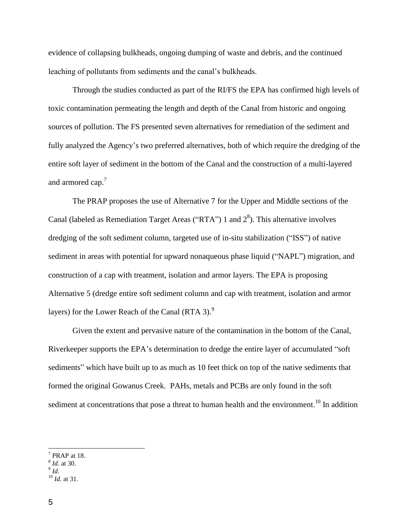evidence of collapsing bulkheads, ongoing dumping of waste and debris, and the continued leaching of pollutants from sediments and the canal's bulkheads.

Through the studies conducted as part of the RI/FS the EPA has confirmed high levels of toxic contamination permeating the length and depth of the Canal from historic and ongoing sources of pollution. The FS presented seven alternatives for remediation of the sediment and fully analyzed the Agency's two preferred alternatives, both of which require the dredging of the entire soft layer of sediment in the bottom of the Canal and the construction of a multi-layered and armored cap.<sup>7</sup>

The PRAP proposes the use of Alternative 7 for the Upper and Middle sections of the Canal (labeled as Remediation Target Areas ("RTA") 1 and  $2<sup>8</sup>$ ). This alternative involves dredging of the soft sediment column, targeted use of in-situ stabilization ("ISS") of native sediment in areas with potential for upward nonaqueous phase liquid ("NAPL") migration, and construction of a cap with treatment, isolation and armor layers. The EPA is proposing Alternative 5 (dredge entire soft sediment column and cap with treatment, isolation and armor layers) for the Lower Reach of the Canal (RTA 3).<sup>9</sup>

Given the extent and pervasive nature of the contamination in the bottom of the Canal, Riverkeeper supports the EPA's determination to dredge the entire layer of accumulated "soft sediments" which have built up to as much as 10 feet thick on top of the native sediments that formed the original Gowanus Creek. PAHs, metals and PCBs are only found in the soft sediment at concentrations that pose a threat to human health and the environment.<sup>10</sup> In addition

<sup>7</sup> PRAP at 18.

<sup>8</sup> *Id.* at 30.

<sup>9</sup> *Id.*

<sup>10</sup> *Id.* at 31.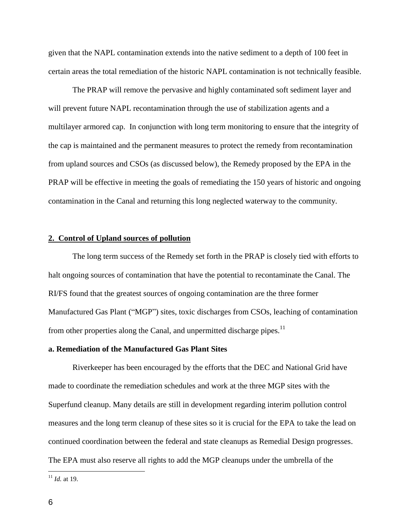given that the NAPL contamination extends into the native sediment to a depth of 100 feet in certain areas the total remediation of the historic NAPL contamination is not technically feasible.

The PRAP will remove the pervasive and highly contaminated soft sediment layer and will prevent future NAPL recontamination through the use of stabilization agents and a multilayer armored cap. In conjunction with long term monitoring to ensure that the integrity of the cap is maintained and the permanent measures to protect the remedy from recontamination from upland sources and CSOs (as discussed below), the Remedy proposed by the EPA in the PRAP will be effective in meeting the goals of remediating the 150 years of historic and ongoing contamination in the Canal and returning this long neglected waterway to the community.

### **2. Control of Upland sources of pollution**

The long term success of the Remedy set forth in the PRAP is closely tied with efforts to halt ongoing sources of contamination that have the potential to recontaminate the Canal. The RI/FS found that the greatest sources of ongoing contamination are the three former Manufactured Gas Plant ("MGP") sites, toxic discharges from CSOs, leaching of contamination from other properties along the Canal, and unpermitted discharge pipes.<sup>11</sup>

#### **a. Remediation of the Manufactured Gas Plant Sites**

Riverkeeper has been encouraged by the efforts that the DEC and National Grid have made to coordinate the remediation schedules and work at the three MGP sites with the Superfund cleanup. Many details are still in development regarding interim pollution control measures and the long term cleanup of these sites so it is crucial for the EPA to take the lead on continued coordination between the federal and state cleanups as Remedial Design progresses. The EPA must also reserve all rights to add the MGP cleanups under the umbrella of the

<sup>11</sup> *Id.* at 19.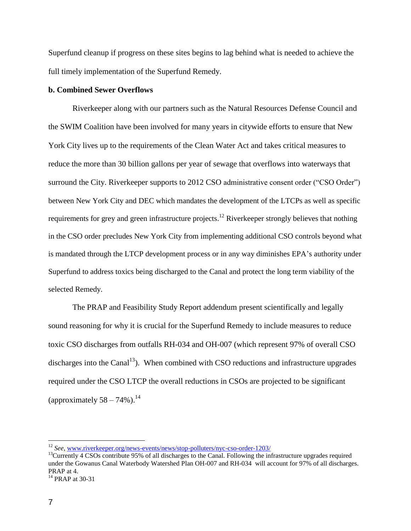Superfund cleanup if progress on these sites begins to lag behind what is needed to achieve the full timely implementation of the Superfund Remedy.

## **b. Combined Sewer Overflows**

Riverkeeper along with our partners such as the Natural Resources Defense Council and the SWIM Coalition have been involved for many years in citywide efforts to ensure that New York City lives up to the requirements of the Clean Water Act and takes critical measures to reduce the more than 30 billion gallons per year of sewage that overflows into waterways that surround the City. Riverkeeper supports to 2012 CSO administrative consent order ("CSO Order") between New York City and DEC which mandates the development of the LTCPs as well as specific requirements for grey and green infrastructure projects.<sup>12</sup> Riverkeeper strongly believes that nothing in the CSO order precludes New York City from implementing additional CSO controls beyond what is mandated through the LTCP development process or in any way diminishes EPA's authority under Superfund to address toxics being discharged to the Canal and protect the long term viability of the selected Remedy.

The PRAP and Feasibility Study Report addendum present scientifically and legally sound reasoning for why it is crucial for the Superfund Remedy to include measures to reduce toxic CSO discharges from outfalls RH-034 and OH-007 (which represent 97% of overall CSO discharges into the Canal<sup>13</sup>). When combined with CSO reductions and infrastructure upgrades required under the CSO LTCP the overall reductions in CSOs are projected to be significant (approximately  $58 - 74\%$ ).<sup>14</sup>

<sup>12</sup> *See*, [www.riverkeeper.org/news-events/news/stop-polluters/nyc-cso-order-1203/](http://www.riverkeeper.org/news-events/news/stop-polluters/nyc-cso-order-1203/)

 $<sup>13</sup>$ Currently 4 CSOs contribute 95% of all discharges to the Canal. Following the infrastructure upgrades required</sup> under the Gowanus Canal Waterbody Watershed Plan OH-007 and RH-034 will account for 97% of all discharges. PRAP at 4.

 $14$  PRAP at 30-31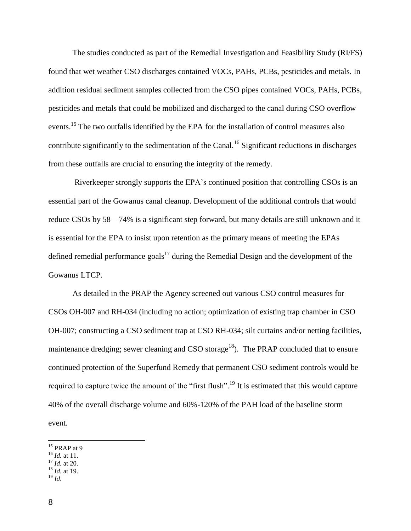The studies conducted as part of the Remedial Investigation and Feasibility Study (RI/FS) found that wet weather CSO discharges contained VOCs, PAHs, PCBs, pesticides and metals. In addition residual sediment samples collected from the CSO pipes contained VOCs, PAHs, PCBs, pesticides and metals that could be mobilized and discharged to the canal during CSO overflow events.<sup>15</sup> The two outfalls identified by the EPA for the installation of control measures also contribute significantly to the sedimentation of the Canal.<sup>16</sup> Significant reductions in discharges from these outfalls are crucial to ensuring the integrity of the remedy.

Riverkeeper strongly supports the EPA's continued position that controlling CSOs is an essential part of the Gowanus canal cleanup. Development of the additional controls that would reduce CSOs by 58 – 74% is a significant step forward, but many details are still unknown and it is essential for the EPA to insist upon retention as the primary means of meeting the EPAs defined remedial performance goals<sup>17</sup> during the Remedial Design and the development of the Gowanus LTCP.

As detailed in the PRAP the Agency screened out various CSO control measures for CSOs OH-007 and RH-034 (including no action; optimization of existing trap chamber in CSO OH-007; constructing a CSO sediment trap at CSO RH-034; silt curtains and/or netting facilities, maintenance dredging; sewer cleaning and CSO storage<sup>18</sup>). The PRAP concluded that to ensure continued protection of the Superfund Remedy that permanent CSO sediment controls would be required to capture twice the amount of the "first flush".<sup>19</sup> It is estimated that this would capture 40% of the overall discharge volume and 60%-120% of the PAH load of the baseline storm event.

<sup>18</sup> *Id.* at 19.

 $\overline{a}$  $15$  PRAP at 9

<sup>16</sup> *Id.* at 11.

<sup>17</sup> *Id.* at 20.

<sup>19</sup> *Id.*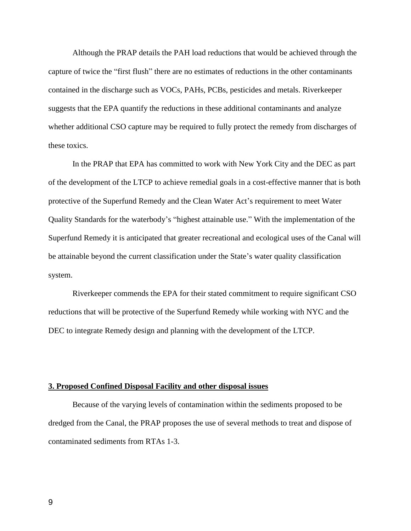Although the PRAP details the PAH load reductions that would be achieved through the capture of twice the "first flush" there are no estimates of reductions in the other contaminants contained in the discharge such as VOCs, PAHs, PCBs, pesticides and metals. Riverkeeper suggests that the EPA quantify the reductions in these additional contaminants and analyze whether additional CSO capture may be required to fully protect the remedy from discharges of these toxics.

In the PRAP that EPA has committed to work with New York City and the DEC as part of the development of the LTCP to achieve remedial goals in a cost-effective manner that is both protective of the Superfund Remedy and the Clean Water Act's requirement to meet Water Quality Standards for the waterbody's "highest attainable use." With the implementation of the Superfund Remedy it is anticipated that greater recreational and ecological uses of the Canal will be attainable beyond the current classification under the State's water quality classification system.

Riverkeeper commends the EPA for their stated commitment to require significant CSO reductions that will be protective of the Superfund Remedy while working with NYC and the DEC to integrate Remedy design and planning with the development of the LTCP.

#### **3. Proposed Confined Disposal Facility and other disposal issues**

Because of the varying levels of contamination within the sediments proposed to be dredged from the Canal, the PRAP proposes the use of several methods to treat and dispose of contaminated sediments from RTAs 1-3.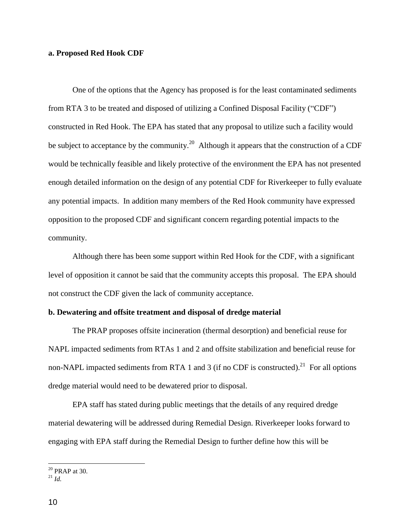### **a. Proposed Red Hook CDF**

One of the options that the Agency has proposed is for the least contaminated sediments from RTA 3 to be treated and disposed of utilizing a Confined Disposal Facility ("CDF") constructed in Red Hook. The EPA has stated that any proposal to utilize such a facility would be subject to acceptance by the community.<sup>20</sup> Although it appears that the construction of a CDF would be technically feasible and likely protective of the environment the EPA has not presented enough detailed information on the design of any potential CDF for Riverkeeper to fully evaluate any potential impacts. In addition many members of the Red Hook community have expressed opposition to the proposed CDF and significant concern regarding potential impacts to the community.

Although there has been some support within Red Hook for the CDF, with a significant level of opposition it cannot be said that the community accepts this proposal. The EPA should not construct the CDF given the lack of community acceptance.

### **b. Dewatering and offsite treatment and disposal of dredge material**

The PRAP proposes offsite incineration (thermal desorption) and beneficial reuse for NAPL impacted sediments from RTAs 1 and 2 and offsite stabilization and beneficial reuse for non-NAPL impacted sediments from RTA 1 and 3 (if no CDF is constructed).<sup>21</sup> For all options dredge material would need to be dewatered prior to disposal.

EPA staff has stated during public meetings that the details of any required dredge material dewatering will be addressed during Remedial Design. Riverkeeper looks forward to engaging with EPA staff during the Remedial Design to further define how this will be

 $20$  PRAP at 30.

 $^{21}$  *Id.*